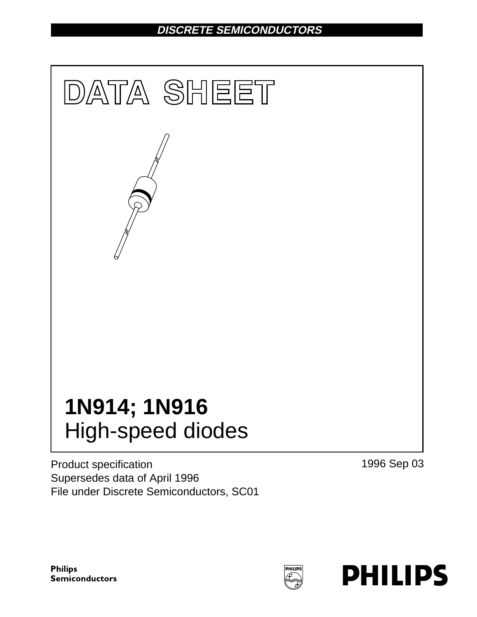# **DISCRETE SEMICONDUCTORS**



Product specification Supersedes data of April 1996 File under Discrete Semiconductors, SC01 1996 Sep 03

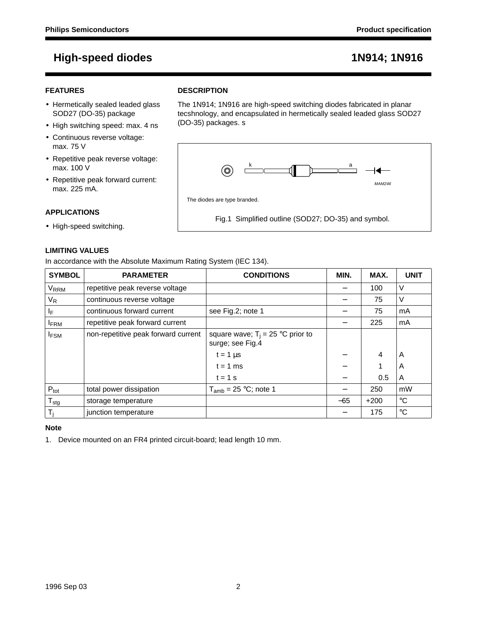## **FEATURES**

- Hermetically sealed leaded glass SOD27 (DO-35) package
- High switching speed: max. 4 ns
- Continuous reverse voltage: max. 75 V
- Repetitive peak reverse voltage: max. 100 V
- Repetitive peak forward current: max. 225 mA.

### **APPLICATIONS**

• High-speed switching.

### **LIMITING VALUES**

In accordance with the Absolute Maximum Rating System (IEC 134).

| <b>SYMBOL</b>    | <b>PARAMETER</b>                    | <b>CONDITIONS</b>                                       | MIN.  | MAX.   | <b>UNIT</b> |
|------------------|-------------------------------------|---------------------------------------------------------|-------|--------|-------------|
| <b>VRRM</b>      | repetitive peak reverse voltage     |                                                         |       | 100    | $\vee$      |
| $V_R$            | continuous reverse voltage          |                                                         |       | 75     | $\vee$      |
| ΙF               | continuous forward current          | see Fig.2; note 1                                       |       | 75     | mA          |
| <b>IFRM</b>      | repetitive peak forward current     |                                                         |       | 225    | mA          |
| <b>IFSM</b>      | non-repetitive peak forward current | square wave; $T_i = 25$ °C prior to<br>surge; see Fig.4 |       |        |             |
|                  |                                     | $t = 1 \mu s$                                           |       | 4      | A           |
|                  |                                     | $t = 1$ ms                                              |       |        | A           |
|                  |                                     | $t = 1$ s                                               |       | 0.5    | A           |
| $P_{\text{tot}}$ | total power dissipation             | $T_{amb}$ = 25 °C; note 1                               |       | 250    | mW          |
| $T_{\text{stg}}$ | storage temperature                 |                                                         | $-65$ | $+200$ | $^{\circ}C$ |
| T,               | junction temperature                |                                                         |       | 175    | $^{\circ}C$ |

### **Note**

1. Device mounted on an FR4 printed circuit-board; lead length 10 mm.



### **DESCRIPTION**

| The 1N914; 1N916 are high-speed switching diodes fabricated in planar   |
|-------------------------------------------------------------------------|
| tecshnology, and encapsulated in hermetically sealed leaded glass SOD27 |
| (DO-35) packages. s                                                     |

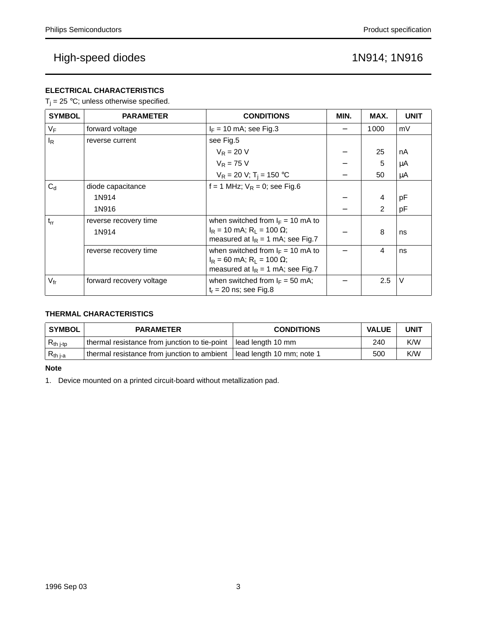## **ELECTRICAL CHARACTERISTICS**

 $T_j = 25 \text{ °C}$ ; unless otherwise specified.

| <b>SYMBOL</b>   | <b>PARAMETER</b>         | <b>CONDITIONS</b>                                                                                                            | MIN. | MAX. | <b>UNIT</b> |
|-----------------|--------------------------|------------------------------------------------------------------------------------------------------------------------------|------|------|-------------|
| $V_F$           | forward voltage          | $I_F = 10$ mA; see Fig.3                                                                                                     |      | 1000 | mV          |
| $I_R$           | reverse current          | see Fig.5                                                                                                                    |      |      |             |
|                 |                          | $V_R = 20 V$                                                                                                                 |      | 25   | nA          |
|                 |                          | $V_R = 75 V$                                                                                                                 |      | 5    | μA          |
|                 |                          | $V_R = 20 V; T_i = 150 °C$                                                                                                   |      | 50   | μA          |
| $C_{d}$         | diode capacitance        | f = 1 MHz; $V_R$ = 0; see Fig.6                                                                                              |      |      |             |
|                 | 1N914                    |                                                                                                                              |      | 4    | рF          |
|                 | 1N916                    |                                                                                                                              |      | 2    | рF          |
| $t_{rr}$        | reverse recovery time    | when switched from $I_F = 10$ mA to                                                                                          |      |      |             |
|                 | 1N914                    | $I_R = 10$ mA; $R_L = 100 \Omega$ ;<br>measured at $I_R = 1$ mA; see Fig.7                                                   |      | 8    | ns          |
|                 | reverse recovery time    | when switched from $I_F = 10$ mA to<br>$I_R$ = 60 mA; R <sub>1</sub> = 100 $\Omega$ ;<br>measured at $I_R = 1$ mA; see Fig.7 |      | 4    | ns          |
| $V_{\text{fr}}$ | forward recovery voltage | when switched from $I_F = 50$ mA;<br>$t_r = 20$ ns; see Fig.8                                                                |      | 2.5  | V           |

## **THERMAL CHARACTERISTICS**

| <b>SYMBOL</b>  | <b>PARAMETER</b>                              | <b>CONDITIONS</b>         | <b>VALUE</b> | <b>UNIT</b> |
|----------------|-----------------------------------------------|---------------------------|--------------|-------------|
| $R_{th\ j-tp}$ | thermal resistance from junction to tie-point | l lead length 10 mm       | 240          | K/W         |
| $R_{th j-a}$   | I thermal resistance from junction to ambient | lead length 10 mm; note 1 | 500          | K/W         |

## **Note**

1. Device mounted on a printed circuit-board without metallization pad.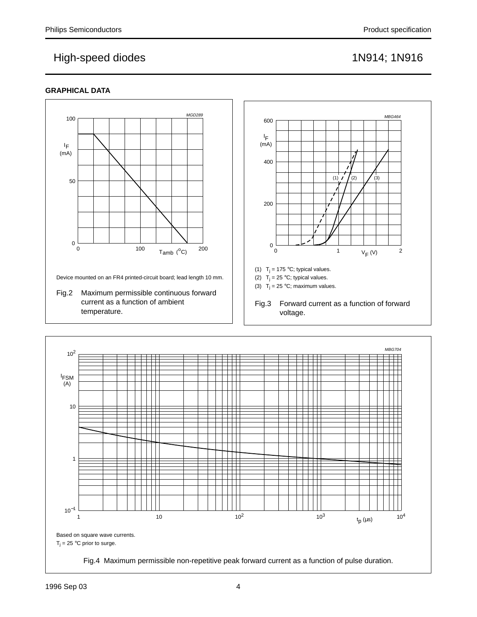## **GRAPHICAL DATA**



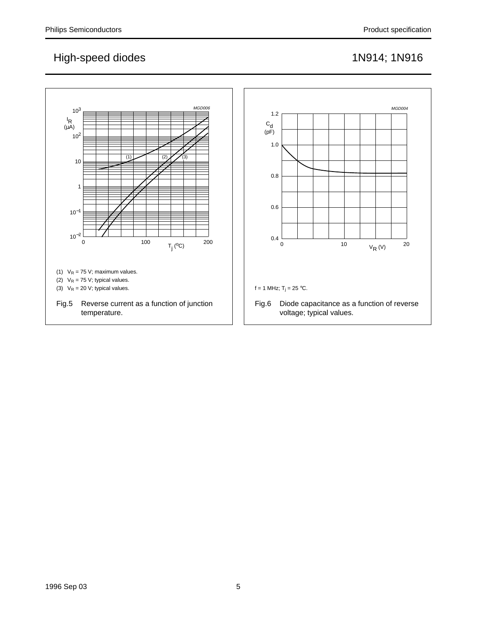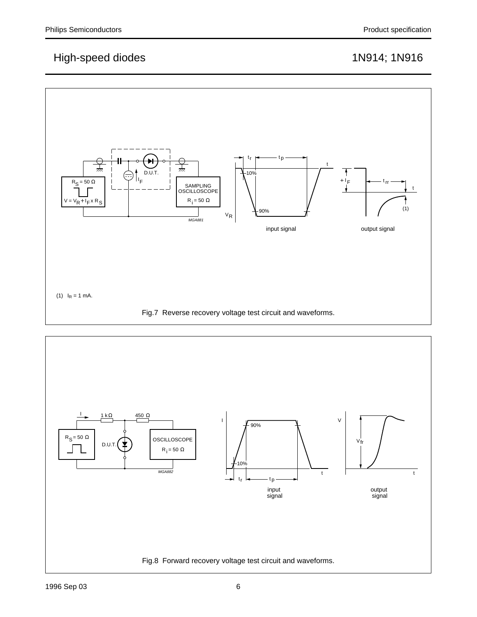